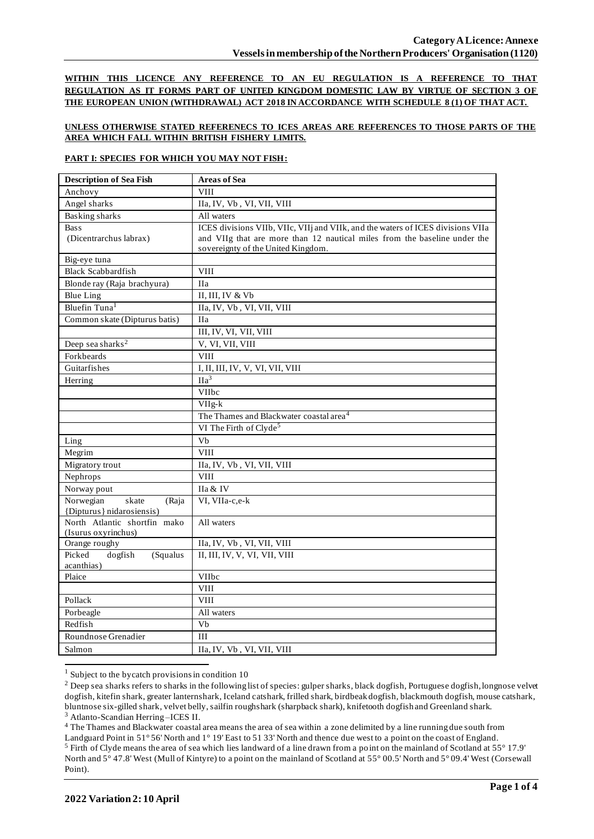**WITHIN THIS LICENCE ANY REFERENCE TO AN EU REGULATION IS A REFERENCE TO THAT REGULATION AS IT FORMS PART OF UNITED KINGDOM DOMESTIC LAW BY VIRTUE OF SECTION 3 OF THE EUROPEAN UNION (WITHDRAWAL) ACT 2018 IN ACCORDANCE WITH SCHEDULE 8 (1) OF THAT ACT.**

## **UNLESS OTHERWISE STATED REFERENECS TO ICES AREAS ARE REFERENCES TO THOSE PARTS OF THE AREA WHICH FALL WITHIN BRITISH FISHERY LIMITS.**

### **PART I: SPECIES FOR WHICH YOU MAY NOT FISH:**

| <b>Description of Sea Fish</b>       | <b>Areas of Sea</b>                                                             |
|--------------------------------------|---------------------------------------------------------------------------------|
| Anchovy                              | <b>VIII</b>                                                                     |
| Angel sharks                         | IIa, IV, Vb, VI, VII, VIII                                                      |
| <b>Basking sharks</b>                | All waters                                                                      |
| <b>Bass</b>                          | ICES divisions VIIb, VIIc, VIIj and VIIk, and the waters of ICES divisions VIIa |
| (Dicentrarchus labrax)               | and VIIg that are more than 12 nautical miles from the baseline under the       |
|                                      | sovereignty of the United Kingdom.                                              |
| Big-eye tuna                         |                                                                                 |
| <b>Black Scabbardfish</b>            | <b>VIII</b>                                                                     |
| Blonde ray (Raja brachyura)          | <b>IIa</b>                                                                      |
| <b>Blue Ling</b>                     | II, III, IV & Vb                                                                |
| Bluefin Tuna <sup>1</sup>            | IIa, IV, Vb, VI, VII, VIII                                                      |
| Common skate (Dipturus batis)        | <b>IIa</b>                                                                      |
|                                      | III, IV, VI, VII, VIII                                                          |
| Deep sea sharks <sup>2</sup>         | V, VI, VII, VIII                                                                |
| Forkbeards                           | <b>VIII</b>                                                                     |
| Guitarfishes                         | I, II, III, IV, V, VI, VII, VIII                                                |
| Herring                              | $\Pi a^3$                                                                       |
|                                      | <b>VIIbc</b>                                                                    |
|                                      | VIIg-k                                                                          |
|                                      | The Thames and Blackwater coastal area <sup>4</sup>                             |
|                                      | VI The Firth of Clyde <sup>5</sup>                                              |
| Ling                                 | Vb                                                                              |
| Megrim                               | <b>VIII</b>                                                                     |
| Migratory trout                      | IIa, IV, Vb, VI, VII, VIII                                                      |
| Nephrops                             | <b>VIII</b>                                                                     |
| Norway pout                          | IIa & IV                                                                        |
| Norwegian<br>skate<br>(Raja          | VI, VIIa-c,e-k                                                                  |
| {Dipturus} nidarosiensis)            |                                                                                 |
| North Atlantic shortfin mako         | All waters                                                                      |
| (Isurus oxyrinchus)<br>Orange roughy | IIa, IV, Vb, VI, VII, VIII                                                      |
| Picked<br>dogfish<br>(Squalus        | II, III, IV, V, VI, VII, VIII                                                   |
| acanthias)                           |                                                                                 |
| Plaice                               | VIIbc                                                                           |
|                                      | <b>VIII</b>                                                                     |
| Pollack                              | <b>VIII</b>                                                                     |
| Porbeagle                            | All waters                                                                      |
| Redfish                              | Vb                                                                              |
| Roundnose Grenadier                  | III                                                                             |
| Salmon                               | IIa, IV, Vb, VI, VII, VIII                                                      |

 $1$  Subject to the bycatch provisions in condition 10

<sup>4</sup> The Thames and Blackwater coastal area means the area of sea within a zone delimited by a line running due south from

<sup>&</sup>lt;sup>2</sup> Deep sea sharks refers to sharks in the following list of species: gulper sharks, black dogfish, Portuguese dogfish, longnose velvet dogfish, kitefin shark, greater lanternshark, Iceland catshark, frilled shark, birdbeak dogfish, blackmouth dogfish, mouse catshark, bluntnose six-gilled shark, velvet belly, sailfin roughshark (sharpback shark), knifetooth dogfish and Greenland shark. <sup>3</sup> Atlanto-Scandian Herring –ICES II.

Landguard Point in 51° 56' North and 1° 19' East to 51 33' North and thence due west to a point on the coast of England. <sup>5</sup> Firth of Clyde means the area of sea which lies landward of a line drawn from a point on the mainland of Scotland at 55° 17.9' North and 5° 47.8' West (Mull of Kintyre) to a point on the mainland of Scotland at 55° 00.5' North and 5° 09.4' West (Corsewall Point).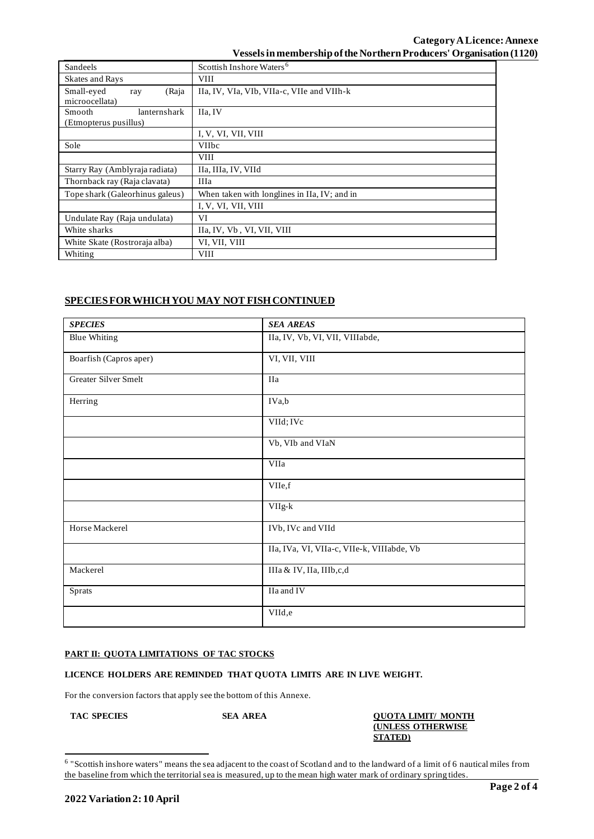## **Category ALicence: Annexe Vesselsin membership of the Northern Producers' Organisation (1120)**

| Sandeels                                               | Scottish Inshore Waters <sup>6</sup>         |  |  |  |
|--------------------------------------------------------|----------------------------------------------|--|--|--|
| Skates and Rays                                        | <b>VIII</b>                                  |  |  |  |
| Small-eyed<br>(Raja<br>ray<br>microocellata)           | IIa, IV, VIa, VIb, VIIa-c, VIIe and VIIh-k   |  |  |  |
| <b>Smooth</b><br>lanternshark<br>(Etmopterus pusillus) | IIa, IV                                      |  |  |  |
|                                                        | I, V, VI, VII, VIII                          |  |  |  |
| Sole                                                   | <b>VIIbc</b>                                 |  |  |  |
|                                                        | <b>VIII</b>                                  |  |  |  |
| Starry Ray (Amblyraja radiata)                         | IIa, IIIa, IV, VIId                          |  |  |  |
| Thornback ray (Raja clavata)                           | <b>IIIa</b>                                  |  |  |  |
| Tope shark (Galeorhinus galeus)                        | When taken with longlines in IIa, IV; and in |  |  |  |
|                                                        | I, V, VI, VII, VIII                          |  |  |  |
| Undulate Ray (Raja undulata)                           | VI                                           |  |  |  |
| White sharks                                           | IIa, IV, Vb, VI, VII, VIII                   |  |  |  |
| White Skate (Rostroraja alba)                          | VI, VII, VIII                                |  |  |  |
| Whiting                                                | <b>VIII</b>                                  |  |  |  |

# **SPECIES FOR WHICH YOU MAY NOT FISH CONTINUED**

| <b>SPECIES</b>              | <b>SEA AREAS</b>                           |
|-----------------------------|--------------------------------------------|
| <b>Blue Whiting</b>         | IIa, IV, Vb, VI, VII, VIIIabde,            |
| Boarfish (Capros aper)      | VI, VII, VIII                              |
| <b>Greater Silver Smelt</b> | $\rm I Ia$                                 |
| Herring                     | IVa,b                                      |
|                             | VIId; IVc                                  |
|                             | Vb, VIb and VIaN                           |
|                             | VIIa                                       |
|                             | VIIe,f                                     |
|                             | $VIIg-k$                                   |
| Horse Mackerel              | IVb, IVc and VIId                          |
|                             | IIa, IVa, VI, VIIa-c, VIIe-k, VIIIabde, Vb |
| Mackerel                    | IIIa & IV, IIa, IIIb, c, d                 |
| Sprats                      | IIa and IV                                 |
|                             | VIId,e                                     |

## **PART II: QUOTA LIMITATIONS OF TAC STOCKS**

#### **LICENCE HOLDERS ARE REMINDED THAT QUOTA LIMITS ARE IN LIVE WEIGHT.**

For the conversion factors that apply see the bottom of this Annexe.

**TAC SPECIES SEA AREA QUOTA LIMIT/ MONTH (UNLESS OTHERWISE STATED)**

<sup>&</sup>lt;sup>6</sup> "Scottish inshore waters" means the sea adjacent to the coast of Scotland and to the landward of a limit of 6 nautical miles from the baseline from which the territorial sea is measured, up to the mean high water mark of ordinary spring tides.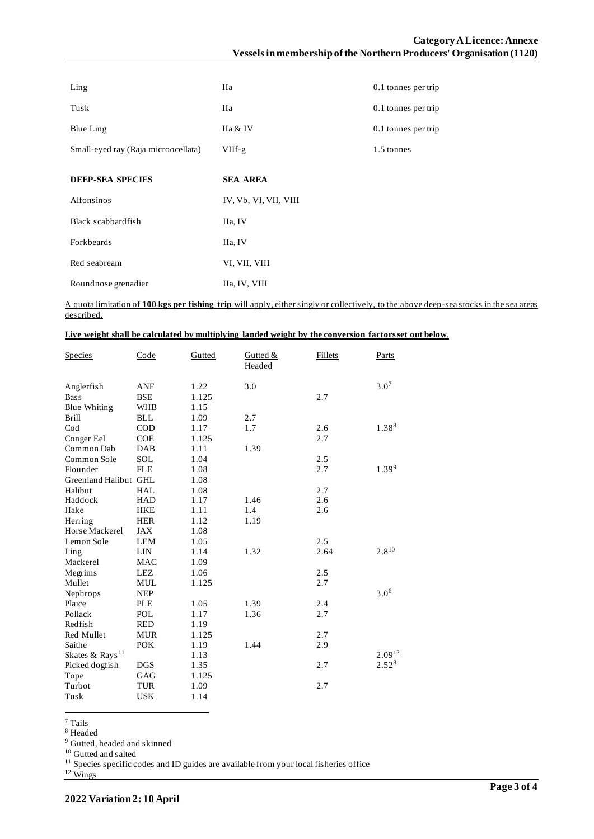| Ling                                | <b>IIa</b>            | $0.1$ tonnes per trip |
|-------------------------------------|-----------------------|-----------------------|
| Tusk                                | <b>IIa</b>            | 0.1 tonnes per trip   |
| Blue Ling                           | IIa & IV              | 0.1 tonnes per trip   |
| Small-eyed ray (Raja microocellata) | $VIIf-g$              | 1.5 tonnes            |
|                                     |                       |                       |
| <b>DEEP-SEA SPECIES</b>             | <b>SEA AREA</b>       |                       |
|                                     |                       |                       |
| Alfonsinos                          | IV, Vb, VI, VII, VIII |                       |
| Black scabbardfish                  | IIa, IV               |                       |
| Forkbeards                          | IIa, IV               |                       |
| Red seabream                        | VI, VII, VIII         |                       |

A quota limitation of **100 kgs per fishing trip** will apply, either singly or collectively, to the above deep-sea stocks in the sea areas described.

|  | Live weight shall be calculated by multiplying landed weight by the conversion factors set out below. |
|--|-------------------------------------------------------------------------------------------------------|
|  |                                                                                                       |

| <b>Species</b>              | Code       | Gutted | Gutted &<br>Headed | Fillets | Parts            |
|-----------------------------|------------|--------|--------------------|---------|------------------|
| Anglerfish                  | ANF        | 1.22   | 3.0                |         | 3.0 <sup>7</sup> |
| <b>Bass</b>                 | <b>BSE</b> | 1.125  |                    | 2.7     |                  |
| <b>Blue Whiting</b>         | <b>WHB</b> | 1.15   |                    |         |                  |
| <b>Brill</b>                | <b>BLL</b> | 1.09   | 2.7                |         |                  |
| $\mathrm{Cod}$              | $\rm COD$  | 1.17   | 1.7                | 2.6     | 1.388            |
| Conger Eel                  | <b>COE</b> | 1.125  |                    | 2.7     |                  |
| Common Dab                  | <b>DAB</b> | 1.11   | 1.39               |         |                  |
| Common Sole                 | <b>SOL</b> | 1.04   |                    | 2.5     |                  |
| Flounder                    | <b>FLE</b> | 1.08   |                    | 2.7     | $1.39^{9}$       |
| Greenland Halibut GHL       |            | 1.08   |                    |         |                  |
| Halibut                     | <b>HAL</b> | 1.08   |                    | 2.7     |                  |
| Haddock                     | <b>HAD</b> | 1.17   | 1.46               | 2.6     |                  |
| Hake                        | <b>HKE</b> | 1.11   | 1.4                | 2.6     |                  |
| Herring                     | <b>HER</b> | 1.12   | 1.19               |         |                  |
| Horse Mackerel              | <b>JAX</b> | 1.08   |                    |         |                  |
| Lemon Sole                  | <b>LEM</b> | 1.05   |                    | 2.5     |                  |
| Ling                        | <b>LIN</b> | 1.14   | 1.32               | 2.64    | $2.8^{10}$       |
| Mackerel                    | MAC        | 1.09   |                    |         |                  |
| Megrims                     | LEZ        | 1.06   |                    | 2.5     |                  |
| Mullet                      | <b>MUL</b> | 1.125  |                    | 2.7     |                  |
| Nephrops                    | <b>NEP</b> |        |                    |         | $3.0^{6}$        |
| Plaice                      | <b>PLE</b> | 1.05   | 1.39               | 2.4     |                  |
| Pollack                     | POL        | 1.17   | 1.36               | 2.7     |                  |
| Redfish                     | <b>RED</b> | 1.19   |                    |         |                  |
| Red Mullet                  | <b>MUR</b> | 1.125  |                    | 2.7     |                  |
| Saithe                      | <b>POK</b> | 1.19   | 1.44               | 2.9     |                  |
| Skates & Rays <sup>11</sup> |            | 1.13   |                    |         | $2.09^{12}$      |
| Picked dogfish              | <b>DGS</b> | 1.35   |                    | 2.7     | $2.52^{8}$       |
| Tope                        | GAG        | 1.125  |                    |         |                  |
| Turbot                      | <b>TUR</b> | 1.09   |                    | 2.7     |                  |
| Tusk                        | <b>USK</b> | 1.14   |                    |         |                  |

<sup>7</sup> Tails

<sup>8</sup> Headed

<sup>9</sup> Gutted, headed and skinned

<sup>10</sup> Gutted and salted

 $11$  Species specific codes and ID guides are available from your local fisheries office

<sup>12</sup> Wings